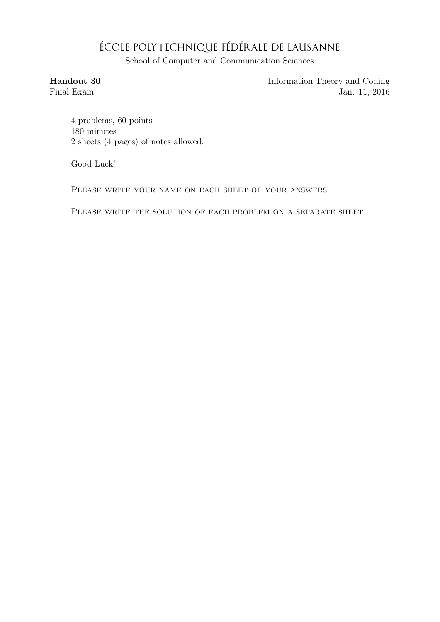## ÉCOLE POLYTECHNIQUE FÉDÉRALE DE LAUSANNE

School of Computer and Communication Sciences

| Handout 30 | Information Theory and Coding |
|------------|-------------------------------|
| Final Exam | Jan. 11, 2016                 |

4 problems, 60 points 180 minutes 2 sheets (4 pages) of notes allowed.

Good Luck!

PLEASE WRITE YOUR NAME ON EACH SHEET OF YOUR ANSWERS.

PLEASE WRITE THE SOLUTION OF EACH PROBLEM ON A SEPARATE SHEET.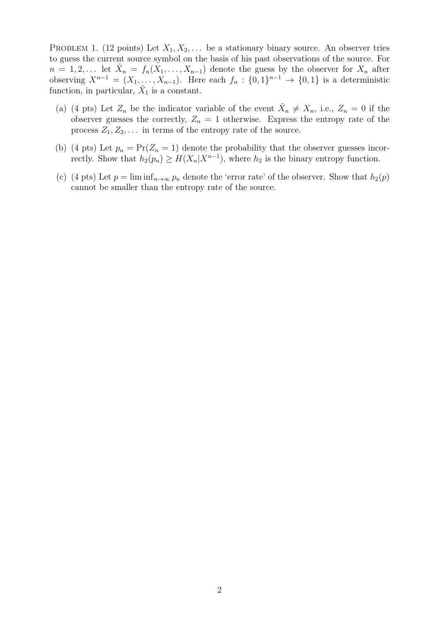PROBLEM 1. (12 points) Let  $X_1, X_2, \ldots$  be a stationary binary source. An observer tries to guess the current source symbol on the basis of his past observations of the source. For  $n = 1, 2, \ldots$  let  $\hat{X}_n = f_n(X_1, \ldots, X_{n-1})$  denote the guess by the observer for  $X_n$  after observing  $X^{n-1} = (X_1, \ldots, X_{n-1})$ . Here each  $f_n : \{0,1\}^{n-1} \to \{0,1\}$  is a deterministic function, in particular,  $\hat{X}_1$  is a constant.

- (a) (4 pts) Let  $Z_n$  be the indicator variable of the event  $\hat{X}_n \neq X_n$ , i.e.,  $Z_n = 0$  if the observer guesses the correctly,  $Z_n = 1$  otherwise. Express the entropy rate of the process  $Z_1, Z_2, \ldots$  in terms of the entropy rate of the source.
- (b) (4 pts) Let  $p_n = Pr(Z_n = 1)$  denote the probability that the observer guesses incorrectly. Show that  $h_2(p_n) \geq H(X_n | X^{n-1})$ , where  $h_2$  is the binary entropy function.
- (c) (4 pts) Let  $p = \liminf_{n \to \infty} p_n$  denote the 'error rate' of the observer. Show that  $h_2(p)$ cannot be smaller than the entropy rate of the source.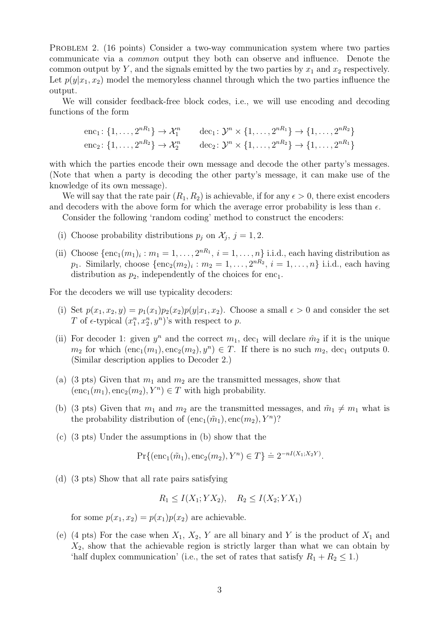PROBLEM 2. (16 points) Consider a two-way communication system where two parties communicate via a common output they both can observe and influence. Denote the common output by Y, and the signals emitted by the two parties by  $x_1$  and  $x_2$  respectively. Let  $p(y|x_1, x_2)$  model the memoryless channel through which the two parties influence the output.

We will consider feedback-free block codes, i.e., we will use encoding and decoding functions of the form

enc<sub>1</sub>:  $\{1, ..., 2^{nR_1}\} \to \mathcal{X}_1^n$  dec<sub>1</sub>:  $\mathcal{Y}^n \times \{1, ..., 2^{nR_1}\} \to \{1, ..., 2^{nR_2}\}$ enc<sub>2</sub>:  $\{1, \ldots, 2^{nR_2}\} \to \mathcal{X}_2^n$  dec<sub>2</sub>:  $\mathcal{Y}^n \times \{1, \ldots, 2^{nR_2}\} \to \{1, \ldots, 2^{nR_1}\}$ 

with which the parties encode their own message and decode the other party's messages. (Note that when a party is decoding the other party's message, it can make use of the knowledge of its own message).

We will say that the rate pair  $(R_1, R_2)$  is achievable, if for any  $\epsilon > 0$ , there exist encoders and decoders with the above form for which the average error probability is less than  $\epsilon$ .

Consider the following 'random coding' method to construct the encoders:

- (i) Choose probability distributions  $p_j$  on  $\mathcal{X}_j$ ,  $j = 1, 2$ .
- (ii) Choose  $\{\text{enc}_1(m_1)_i : m_1 = 1, \ldots, 2^{nR_1}, i = 1, \ldots, n\}$  i.i.d., each having distribution as  $p_1$ . Similarly, choose  $\{\text{enc}_2(m_2)_i : m_2 = 1, ..., 2^{nR_2}, i = 1, ..., n\}$  i.i.d., each having distribution as  $p_2$ , independently of the choices for enc<sub>1</sub>.

For the decoders we will use typicality decoders:

- (i) Set  $p(x_1, x_2, y) = p_1(x_1)p_2(x_2)p(y|x_1, x_2)$ . Choose a small  $\epsilon > 0$  and consider the set T of  $\epsilon$ -typical  $(x_1^n, x_2^n, y^n)$ 's with respect to p.
- (ii) For decoder 1: given  $y^n$  and the correct  $m_1$ , dec<sub>1</sub> will declare  $\hat{m}_2$  if it is the unique  $m_2$  for which  $(enc_1(m_1), enc_2(m_2), y^n) \in T$ . If there is no such  $m_2$ , dec<sub>1</sub> outputs 0. (Similar description applies to Decoder 2.)
- (a) (3 pts) Given that  $m_1$  and  $m_2$  are the transmitted messages, show that  $(enc_1(m_1), enc_2(m_2), Y^n) \in T$  with high probability.
- (b) (3 pts) Given that  $m_1$  and  $m_2$  are the transmitted messages, and  $\tilde{m}_1 \neq m_1$  what is the probability distribution of  $(enc_1(\tilde m_1), enc(m_2), Y^n)$ ?
- (c) (3 pts) Under the assumptions in (b) show that the

$$
\Pr\{(\text{enc}_1(\tilde{m}_1), \text{enc}_2(m_2), Y^n) \in T\} \doteq 2^{-nI(X_1; X_2 Y)}.
$$

(d) (3 pts) Show that all rate pairs satisfying

$$
R_1 \le I(X_1; YX_2), \quad R_2 \le I(X_2; YX_1)
$$

for some  $p(x_1, x_2) = p(x_1)p(x_2)$  are achievable.

(e) (4 pts) For the case when  $X_1, X_2, Y$  are all binary and Y is the product of  $X_1$  and  $X_2$ , show that the achievable region is strictly larger than what we can obtain by 'half duplex communication' (i.e., the set of rates that satisfy  $R_1 + R_2 \leq 1$ .)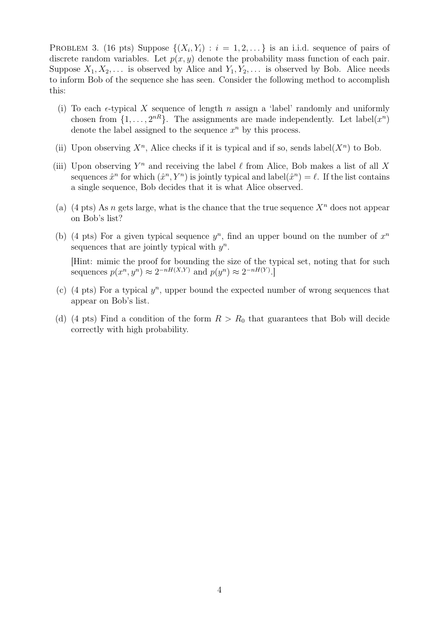PROBLEM 3. (16 pts) Suppose  $\{(X_i, Y_i) : i = 1, 2, ...\}$  is an i.i.d. sequence of pairs of discrete random variables. Let  $p(x, y)$  denote the probability mass function of each pair. Suppose  $X_1, X_2, \ldots$  is observed by Alice and  $Y_1, Y_2, \ldots$  is observed by Bob. Alice needs to inform Bob of the sequence she has seen. Consider the following method to accomplish this:

- (i) To each  $\epsilon$ -typical X sequence of length n assign a 'label' randomly and uniformly chosen from  $\{1, \ldots, 2^{nR}\}$ . The assignments are made independently. Let label $(x^n)$ denote the label assigned to the sequence  $x^n$  by this process.
- (ii) Upon observing  $X^n$ , Alice checks if it is typical and if so, sends label $(X^n)$  to Bob.
- (iii) Upon observing  $Y^n$  and receiving the label  $\ell$  from Alice, Bob makes a list of all X sequences  $\hat{x}^n$  for which  $(\hat{x}^n, Y^n)$  is jointly typical and label $(\hat{x}^n) = \ell$ . If the list contains a single sequence, Bob decides that it is what Alice observed.
- (a) (4 pts) As n gets large, what is the chance that the true sequence  $X<sup>n</sup>$  does not appear on Bob's list?
- (b) (4 pts) For a given typical sequence  $y^n$ , find an upper bound on the number of  $x^n$ sequences that are jointly typical with  $y^n$ .

[Hint: mimic the proof for bounding the size of the typical set, noting that for such sequences  $p(x^n, y^n) \approx 2^{-n(X,Y)}$  and  $p(y^n) \approx 2^{-n(Y)}$ .

- (c) (4 pts) For a typical  $y^n$ , upper bound the expected number of wrong sequences that appear on Bob's list.
- (d) (4 pts) Find a condition of the form  $R > R_0$  that guarantees that Bob will decide correctly with high probability.